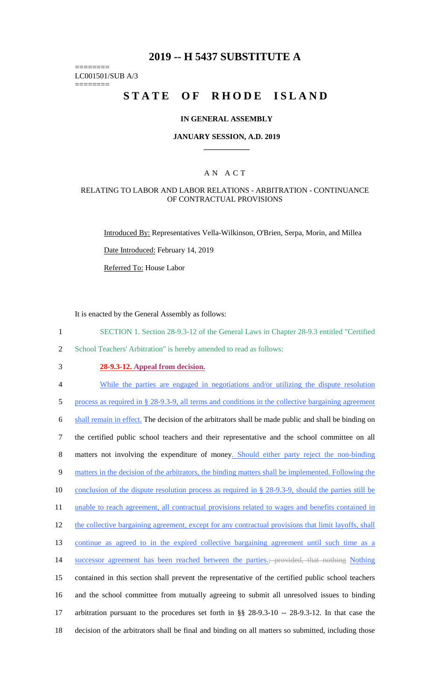# **2019 -- H 5437 SUBSTITUTE A**

======== LC001501/SUB A/3

========

# **STATE OF RHODE ISLAND**

#### **IN GENERAL ASSEMBLY**

#### **JANUARY SESSION, A.D. 2019 \_\_\_\_\_\_\_\_\_\_\_\_**

## A N A C T

### RELATING TO LABOR AND LABOR RELATIONS - ARBITRATION - CONTINUANCE OF CONTRACTUAL PROVISIONS

Introduced By: Representatives Vella-Wilkinson, O'Brien, Serpa, Morin, and Millea

Date Introduced: February 14, 2019

Referred To: House Labor

It is enacted by the General Assembly as follows:

- 1 SECTION 1. Section 28-9.3-12 of the General Laws in Chapter 28-9.3 entitled "Certified
- 2 School Teachers' Arbitration" is hereby amended to read as follows:
- 

# 3 **28-9.3-12. Appeal from decision.**

4 While the parties are engaged in negotiations and/or utilizing the dispute resolution

5 process as required in § 28-9.3-9, all terms and conditions in the collective bargaining agreement

6 shall remain in effect. The decision of the arbitrators shall be made public and shall be binding on

7 the certified public school teachers and their representative and the school committee on all

8 matters not involving the expenditure of money. Should either party reject the non-binding

9 matters in the decision of the arbitrators, the binding matters shall be implemented. Following the

10 conclusion of the dispute resolution process as required in § 28-9.3-9, should the parties still be

11 unable to reach agreement, all contractual provisions related to wages and benefits contained in

12 the collective bargaining agreement, except for any contractual provisions that limit layoffs, shall

13 continue as agreed to in the expired collective bargaining agreement until such time as a

14 successor agreement has been reached between the parties.; provided, that nothing Nothing

15 contained in this section shall prevent the representative of the certified public school teachers

16 and the school committee from mutually agreeing to submit all unresolved issues to binding

17 arbitration pursuant to the procedures set forth in §§ 28-9.3-10 -- 28-9.3-12. In that case the

18 decision of the arbitrators shall be final and binding on all matters so submitted, including those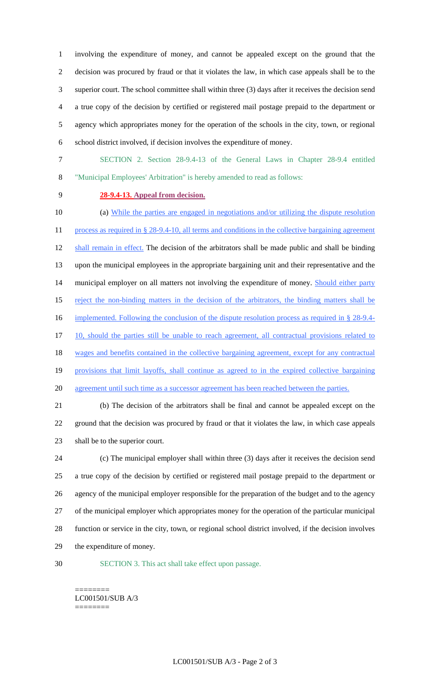involving the expenditure of money, and cannot be appealed except on the ground that the decision was procured by fraud or that it violates the law, in which case appeals shall be to the superior court. The school committee shall within three (3) days after it receives the decision send a true copy of the decision by certified or registered mail postage prepaid to the department or agency which appropriates money for the operation of the schools in the city, town, or regional school district involved, if decision involves the expenditure of money.

- SECTION 2. Section 28-9.4-13 of the General Laws in Chapter 28-9.4 entitled "Municipal Employees' Arbitration" is hereby amended to read as follows:
- 

## **28-9.4-13. Appeal from decision.**

 (a) While the parties are engaged in negotiations and/or utilizing the dispute resolution 11 process as required in § 28-9.4-10, all terms and conditions in the collective bargaining agreement 12 shall remain in effect. The decision of the arbitrators shall be made public and shall be binding upon the municipal employees in the appropriate bargaining unit and their representative and the 14 municipal employer on all matters not involving the expenditure of money. Should either party 15 reject the non-binding matters in the decision of the arbitrators, the binding matters shall be 16 implemented. Following the conclusion of the dispute resolution process as required in § 28-9.4-17 10, should the parties still be unable to reach agreement, all contractual provisions related to 18 wages and benefits contained in the collective bargaining agreement, except for any contractual provisions that limit layoffs, shall continue as agreed to in the expired collective bargaining agreement until such time as a successor agreement has been reached between the parties. (b) The decision of the arbitrators shall be final and cannot be appealed except on the ground that the decision was procured by fraud or that it violates the law, in which case appeals shall be to the superior court. (c) The municipal employer shall within three (3) days after it receives the decision send a true copy of the decision by certified or registered mail postage prepaid to the department or agency of the municipal employer responsible for the preparation of the budget and to the agency

 of the municipal employer which appropriates money for the operation of the particular municipal function or service in the city, town, or regional school district involved, if the decision involves the expenditure of money.

SECTION 3. This act shall take effect upon passage.

======== LC001501/SUB A/3 ========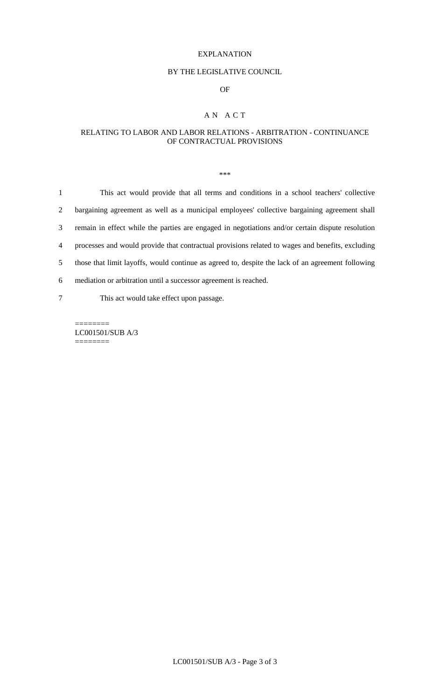#### EXPLANATION

### BY THE LEGISLATIVE COUNCIL

## OF

# A N A C T

## RELATING TO LABOR AND LABOR RELATIONS - ARBITRATION - CONTINUANCE OF CONTRACTUAL PROVISIONS

\*\*\*

| $\mathbf{1}$ | This act would provide that all terms and conditions in a school teachers' collective             |
|--------------|---------------------------------------------------------------------------------------------------|
| 2            | bargaining agreement as well as a municipal employees' collective bargaining agreement shall      |
| 3            | remain in effect while the parties are engaged in negotiations and/or certain dispute resolution  |
| 4            | processes and would provide that contractual provisions related to wages and benefits, excluding  |
| 5            | those that limit layoffs, would continue as agreed to, despite the lack of an agreement following |
| 6            | mediation or arbitration until a successor agreement is reached.                                  |
| 7            | This act would take effect upon passage.                                                          |

======== LC001501/SUB A/3 ========